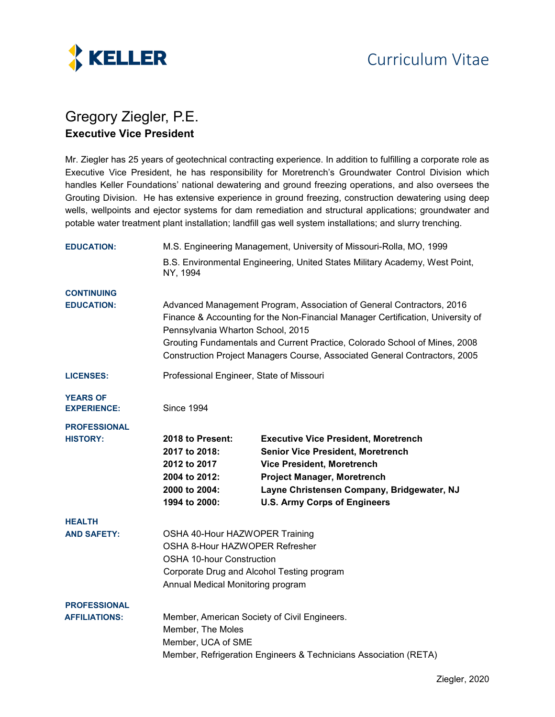

## Gregory Ziegler, P.E. **Executive Vice President**

Mr. Ziegler has 25 years of geotechnical contracting experience. In addition to fulfilling a corporate role as Executive Vice President, he has responsibility for Moretrench's Groundwater Control Division which handles Keller Foundations' national dewatering and ground freezing operations, and also oversees the Grouting Division. He has extensive experience in ground freezing, construction dewatering using deep wells, wellpoints and ejector systems for dam remediation and structural applications; groundwater and potable water treatment plant installation; landfill gas well system installations; and slurry trenching.

| <b>EDUCATION:</b>                           | M.S. Engineering Management, University of Missouri-Rolla, MO, 1999                                                                                                                                                                                                                                                                                       |                                                                                                                                                                                                                                                         |
|---------------------------------------------|-----------------------------------------------------------------------------------------------------------------------------------------------------------------------------------------------------------------------------------------------------------------------------------------------------------------------------------------------------------|---------------------------------------------------------------------------------------------------------------------------------------------------------------------------------------------------------------------------------------------------------|
|                                             | B.S. Environmental Engineering, United States Military Academy, West Point,<br>NY, 1994                                                                                                                                                                                                                                                                   |                                                                                                                                                                                                                                                         |
| <b>CONTINUING</b>                           |                                                                                                                                                                                                                                                                                                                                                           |                                                                                                                                                                                                                                                         |
| <b>EDUCATION:</b>                           | Advanced Management Program, Association of General Contractors, 2016<br>Finance & Accounting for the Non-Financial Manager Certification, University of<br>Pennsylvania Wharton School, 2015<br>Grouting Fundamentals and Current Practice, Colorado School of Mines, 2008<br>Construction Project Managers Course, Associated General Contractors, 2005 |                                                                                                                                                                                                                                                         |
| <b>LICENSES:</b>                            | Professional Engineer, State of Missouri                                                                                                                                                                                                                                                                                                                  |                                                                                                                                                                                                                                                         |
| <b>YEARS OF</b><br><b>EXPERIENCE:</b>       | <b>Since 1994</b>                                                                                                                                                                                                                                                                                                                                         |                                                                                                                                                                                                                                                         |
| <b>PROFESSIONAL</b><br><b>HISTORY:</b>      | 2018 to Present:<br>2017 to 2018:<br>2012 to 2017<br>2004 to 2012:<br>2000 to 2004:<br>1994 to 2000:                                                                                                                                                                                                                                                      | <b>Executive Vice President, Moretrench</b><br><b>Senior Vice President, Moretrench</b><br><b>Vice President, Moretrench</b><br><b>Project Manager, Moretrench</b><br>Layne Christensen Company, Bridgewater, NJ<br><b>U.S. Army Corps of Engineers</b> |
| <b>HEALTH</b><br><b>AND SAFETY:</b>         | OSHA 40-Hour HAZWOPER Training<br>OSHA 8-Hour HAZWOPER Refresher<br><b>OSHA 10-hour Construction</b><br>Corporate Drug and Alcohol Testing program<br>Annual Medical Monitoring program                                                                                                                                                                   |                                                                                                                                                                                                                                                         |
| <b>PROFESSIONAL</b><br><b>AFFILIATIONS:</b> | Member, American Society of Civil Engineers.<br>Member, The Moles<br>Member, UCA of SME<br>Member, Refrigeration Engineers & Technicians Association (RETA)                                                                                                                                                                                               |                                                                                                                                                                                                                                                         |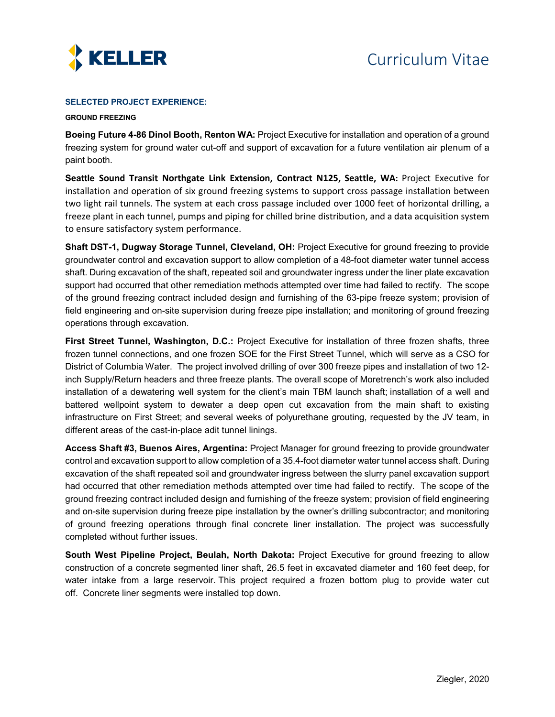

## **SELECTED PROJECT EXPERIENCE:**

## **GROUND FREEZING**

**Boeing Future 4-86 Dinol Booth, Renton WA:** Project Executive for installation and operation of a ground freezing system for ground water cut-off and support of excavation for a future ventilation air plenum of a paint booth.

**Seattle Sound Transit Northgate Link Extension, Contract N125, Seattle, WA:** Project Executive for installation and operation of six ground freezing systems to support cross passage installation between two light rail tunnels. The system at each cross passage included over 1000 feet of horizontal drilling, a freeze plant in each tunnel, pumps and piping for chilled brine distribution, and a data acquisition system to ensure satisfactory system performance.

**Shaft DST-1, Dugway Storage Tunnel, Cleveland, OH:** Project Executive for ground freezing to provide groundwater control and excavation support to allow completion of a 48-foot diameter water tunnel access shaft. During excavation of the shaft, repeated soil and groundwater ingress under the liner plate excavation support had occurred that other remediation methods attempted over time had failed to rectify. The scope of the ground freezing contract included design and furnishing of the 63-pipe freeze system; provision of field engineering and on-site supervision during freeze pipe installation; and monitoring of ground freezing operations through excavation.

**First Street Tunnel, Washington, D.C.:** Project Executive for installation of three frozen shafts, three frozen tunnel connections, and one frozen SOE for the First Street Tunnel, which will serve as a CSO for District of Columbia Water. The project involved drilling of over 300 freeze pipes and installation of two 12 inch Supply/Return headers and three freeze plants. The overall scope of Moretrench's work also included installation of a dewatering well system for the client's main TBM launch shaft; installation of a well and battered wellpoint system to dewater a deep open cut excavation from the main shaft to existing infrastructure on First Street; and several weeks of polyurethane grouting, requested by the JV team, in different areas of the cast-in-place adit tunnel linings.

**Access Shaft #3, Buenos Aires, Argentina:** Project Manager for ground freezing to provide groundwater control and excavation support to allow completion of a 35.4-foot diameter water tunnel access shaft. During excavation of the shaft repeated soil and groundwater ingress between the slurry panel excavation support had occurred that other remediation methods attempted over time had failed to rectify. The scope of the ground freezing contract included design and furnishing of the freeze system; provision of field engineering and on-site supervision during freeze pipe installation by the owner's drilling subcontractor; and monitoring of ground freezing operations through final concrete liner installation. The project was successfully completed without further issues.

**South West Pipeline Project, Beulah, North Dakota:** Project Executive for ground freezing to allow construction of a concrete segmented liner shaft, 26.5 feet in excavated diameter and 160 feet deep, for water intake from a large reservoir. This project required a frozen bottom plug to provide water cut off. Concrete liner segments were installed top down.